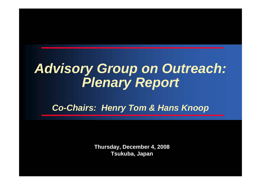# *Advisory Group on Outreach: Plenary Report*

*Co-Chairs: Henry Tom & Hans Knoop*

**Thursday, December 4, 2008 Tsukuba, Japan**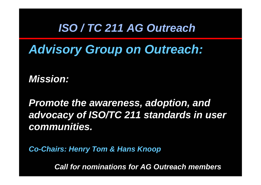### *ISO / TC 211 AG Outreach*

*Advisory Group on Outreach:*

*Mission:* 

*Promote the awareness, adoption, and advocacy of ISO/TC 211 standards in user communities.*

*Co-Chairs: Henry Tom & Hans Knoop*

*Call for nominations for AG Outreach members*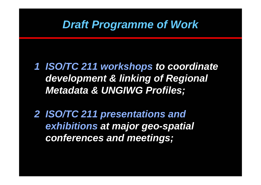### *Draft Programme of Work*

- *1 ISO/TC 211 workshops to coordinate development & linking of Regional Metadata & UNGIWG Profiles;*
- *2 ISO/TC 211 presentations and exhibitions at major geo-spatial conferences and meetings;*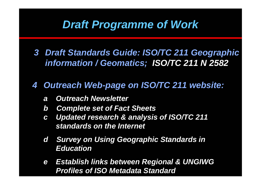## *Draft Programme of Work*

*3 Draft Standards Guide: ISO/TC 211 Geographic information / Geomatics; ISO/TC 211 N 2582*

#### *4 Outreach Web-page on ISO/TC 211 website:*

- *a Outreach Newsletter*
- *b Complete set of Fact Sheets*
- *<sup>c</sup> Updated research & analysis of ISO/TC 211 standards on the Internet*
- *d Survey on Using Geographic Standards in Education*
- *e Establish links between Regional & UNGIWG Profiles of ISO Metadata Standard*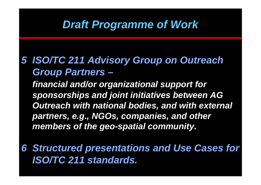### *Draft Programme of Work*

*5 ISO/TC 211 Advisory Group on Outreach Group Partners –*

*financial and/or organizational support for sponsorships and joint initiatives between AG Outreach with national bodies, and with external partners, e.g., NGOs, companies, and other members of the geo-spatial community.*

*6 Structured presentations and Use Cases for ISO/TC 211 standards.*